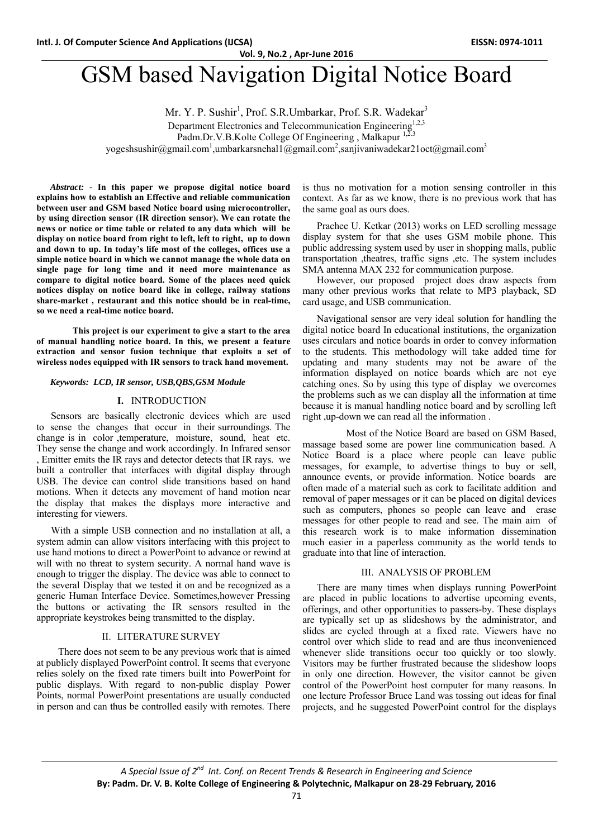# GSM based Navigation Digital Notice Board

Mr. Y. P. Sushir<sup>1</sup>, Prof. S.R.Umbarkar, Prof. S.R. Wadekar<sup>3</sup>

Department Electronics and Telecommunication Engineering<sup>1,2,3</sup>

Padm.Dr.V.B.Kolte College Of Engineering, Malkapur 1,2.3

yogeshsushir@gmail.com<sup>1</sup>,umbarkarsnehal1@gmail.com<sup>2</sup>,sanjivaniwadekar21oct@gmail.com<sup>3</sup>

*Abstract: -* **In this paper we propose digital notice board explains how to establish an Effective and reliable communication between user and GSM based Notice board using microcontroller, by using direction sensor (IR direction sensor). We can rotate the news or notice or time table or related to any data which will be display on notice board from right to left, left to right, up to down and down to up. In today's life most of the colleges, offices use a simple notice board in which we cannot manage the whole data on single page for long time and it need more maintenance as compare to digital notice board. Some of the places need quick notices display on notice board like in college, railway stations share-market , restaurant and this notice should be in real-time, so we need a real-time notice board.** 

 **This project is our experiment to give a start to the area of manual handling notice board. In this, we present a feature extraction and sensor fusion technique that exploits a set of wireless nodes equipped with IR sensors to track hand movement.**

## *Keywords: LCD, IR sensor, USB,QBS,GSM Module*

## **I.** INTRODUCTION

Sensors are basically electronic devices which are used to sense the changes that occur in their surroundings. The change is in color ,temperature, moisture, sound, heat etc. They sense the change and work accordingly. In Infrared sensor , Emitter emits the IR rays and detector detects that IR rays. we built a controller that interfaces with digital display through USB. The device can control slide transitions based on hand motions. When it detects any movement of hand motion near the display that makes the displays more interactive and interesting for viewers.

With a simple USB connection and no installation at all, a system admin can allow visitors interfacing with this project to use hand motions to direct a PowerPoint to advance or rewind at will with no threat to system security. A normal hand wave is enough to trigger the display. The device was able to connect to the several Display that we tested it on and be recognized as a generic Human Interface Device. Sometimes,however Pressing the buttons or activating the IR sensors resulted in the appropriate keystrokes being transmitted to the display.

# II. LITERATURE SURVEY

 There does not seem to be any previous work that is aimed at publicly displayed PowerPoint control. It seems that everyone relies solely on the fixed rate timers built into PowerPoint for public displays. With regard to non-public display Power Points, normal PowerPoint presentations are usually conducted in person and can thus be controlled easily with remotes. There is thus no motivation for a motion sensing controller in this context. As far as we know, there is no previous work that has the same goal as ours does.

Prachee U. Ketkar (2013) works on LED scrolling message display system for that she uses GSM mobile phone. This public addressing system used by user in shopping malls, public transportation ,theatres, traffic signs ,etc. The system includes SMA antenna MAX 232 for communication purpose.

 However, our proposed project does draw aspects from many other previous works that relate to MP3 playback, SD card usage, and USB communication.

Navigational sensor are very ideal solution for handling the digital notice board In educational institutions, the organization uses circulars and notice boards in order to convey information to the students. This methodology will take added time for updating and many students may not be aware of the information displayed on notice boards which are not eye catching ones. So by using this type of display we overcomes the problems such as we can display all the information at time because it is manual handling notice board and by scrolling left right ,up-down we can read all the information .

 Most of the Notice Board are based on GSM Based, massage based some are power line communication based. A Notice Board is a place where people can leave public messages, for example, to advertise things to buy or sell, announce events, or provide information. Notice boards are often made of a material such as cork to facilitate addition and removal of paper messages or it can be placed on digital devices such as computers, phones so people can leave and erase messages for other people to read and see. The main aim of this research work is to make information dissemination much easier in a paperless community as the world tends to graduate into that line of interaction.

## III. ANALYSIS OF PROBLEM

There are many times when displays running PowerPoint are placed in public locations to advertise upcoming events, offerings, and other opportunities to passers-by. These displays are typically set up as slideshows by the administrator, and slides are cycled through at a fixed rate. Viewers have no control over which slide to read and are thus inconvenienced whenever slide transitions occur too quickly or too slowly. Visitors may be further frustrated because the slideshow loops in only one direction. However, the visitor cannot be given control of the PowerPoint host computer for many reasons. In one lecture Professor Bruce Land was tossing out ideas for final projects, and he suggested PowerPoint control for the displays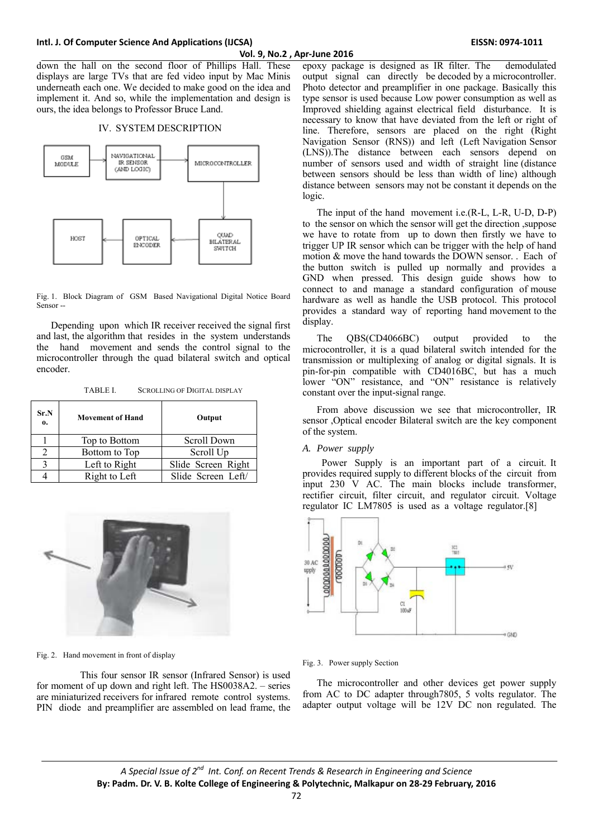down the hall on the second floor of Phillips Hall. These displays are large TVs that are fed video input by Mac Minis underneath each one. We decided to make good on the idea and implement it. And so, while the implementation and design is ours, the idea belongs to Professor Bruce Land.

## IV. SYSTEM DESCRIPTION



Fig. 1. Block Diagram of GSM Based Navigational Digital Notice Board Sensor -

Depending upon which IR receiver received the signal first and last, the algorithm that resides in the system understands the hand movement and sends the control signal to the microcontroller through the quad bilateral switch and optical encoder.

TABLE I. SCROLLING OF DIGITAL DISPLAY

| Sr.N<br>$\mathbf{0}$ | <b>Movement of Hand</b> | Output             |
|----------------------|-------------------------|--------------------|
|                      | Top to Bottom           | Scroll Down        |
|                      | Bottom to Top           | Scroll Up          |
|                      | Left to Right           | Slide Screen Right |
|                      | Right to Left           | Slide Screen Left/ |



Fig. 2. Hand movement in front of display

 This four sensor IR sensor (Infrared Sensor) is used for moment of up down and right left. The HS0038A2. – series are miniaturized receivers for infrared remote control systems. PIN diode and preamplifier are assembled on lead frame, the epoxy package is designed as IR filter. The demodulated output signal can directly be decoded by a microcontroller. Photo detector and preamplifier in one package. Basically this type sensor is used because Low power consumption as well as Improved shielding against electrical field disturbance. It is necessary to know that have deviated from the left or right of line. Therefore, sensors are placed on the right (Right Navigation Sensor (RNS)) and left (Left Navigation Sensor (LNS)).The distance between each sensors depend on number of sensors used and width of straight line (distance between sensors should be less than width of line) although distance between sensors may not be constant it depends on the logic.

The input of the hand movement i.e.(R-L, L-R, U-D, D-P) to the sensor on which the sensor will get the direction ,suppose we have to rotate from up to down then firstly we have to trigger UP IR sensor which can be trigger with the help of hand motion & move the hand towards the DOWN sensor. . Each of the button switch is pulled up normally and provides a GND when pressed. This design guide shows how to connect to and manage a standard configuration of mouse hardware as well as handle the USB protocol. This protocol provides a standard way of reporting hand movement to the display.

The QBS(CD4066BC) output provided to the microcontroller, it is a quad bilateral switch intended for the transmission or multiplexing of analog or digital signals. It is pin-for-pin compatible with CD4016BC, but has a much lower "ON" resistance, and "ON" resistance is relatively constant over the input-signal range.

From above discussion we see that microcontroller, IR sensor ,Optical encoder Bilateral switch are the key component of the system.

#### *A. Power supply*

 Power Supply is an important part of a circuit. It provides required supply to different blocks of the circuit from input 230 V AC. The main blocks include transformer, rectifier circuit, filter circuit, and regulator circuit. Voltage regulator IC LM7805 is used as a voltage regulator.[8]



#### Fig. 3. Power supply Section

The microcontroller and other devices get power supply from AC to DC adapter through7805, 5 volts regulator. The adapter output voltage will be 12V DC non regulated. The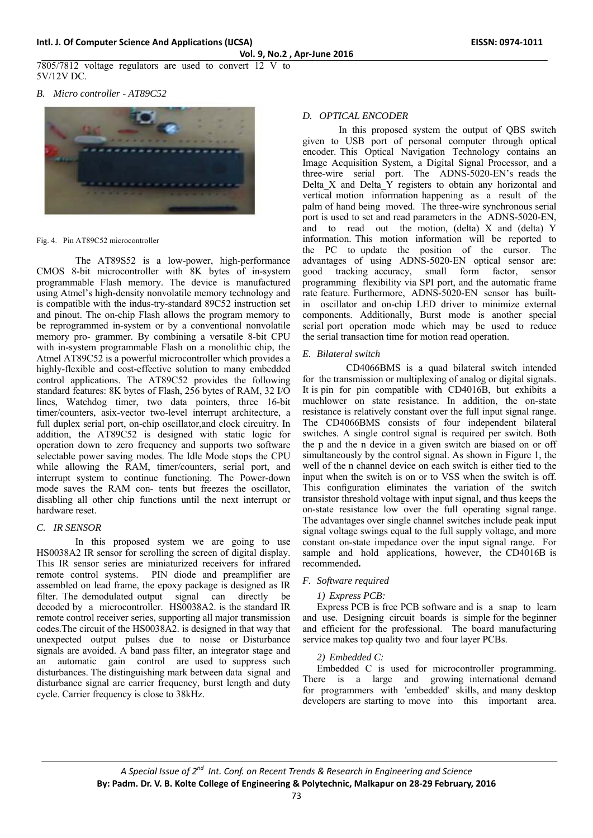7805/7812 voltage regulators are used to convert 12 V to 5V/12V DC.

*B. Micro controller - AT89C52* 



Fig. 4. Pin AT89C52 microcontroller

 The AT89S52 is a low-power, high-performance CMOS 8-bit microcontroller with 8K bytes of in-system programmable Flash memory. The device is manufactured using Atmel's high-density nonvolatile memory technology and is compatible with the indus-try-standard 89C52 instruction set and pinout. The on-chip Flash allows the program memory to be reprogrammed in-system or by a conventional nonvolatile memory pro- grammer. By combining a versatile 8-bit CPU with in-system programmable Flash on a monolithic chip, the Atmel AT89C52 is a powerful microcontroller which provides a highly-flexible and cost-effective solution to many embedded control applications. The AT89C52 provides the following standard features: 8K bytes of Flash, 256 bytes of RAM, 32 I/O lines, Watchdog timer, two data pointers, three 16-bit timer/counters, asix-vector two-level interrupt architecture, a full duplex serial port, on-chip oscillator,and clock circuitry. In addition, the AT89C52 is designed with static logic for operation down to zero frequency and supports two software selectable power saving modes. The Idle Mode stops the CPU while allowing the RAM, timer/counters, serial port, and interrupt system to continue functioning. The Power-down mode saves the RAM con- tents but freezes the oscillator, disabling all other chip functions until the next interrupt or hardware reset.

# *C. IR SENSOR*

 In this proposed system we are going to use HS0038A2 IR sensor for scrolling the screen of digital display. This IR sensor series are miniaturized receivers for infrared remote control systems. PIN diode and preamplifier are assembled on lead frame, the epoxy package is designed as IR filter. The demodulated output signal can directly be decoded by a microcontroller. HS0038A2. is the standard IR remote control receiver series, supporting all major transmission codes.The circuit of the HS0038A2. is designed in that way that unexpected output pulses due to noise or Disturbance signals are avoided. A band pass filter, an integrator stage and an automatic gain control are used to suppress such disturbances. The distinguishing mark between data signal and disturbance signal are carrier frequency, burst length and duty cycle. Carrier frequency is close to 38kHz.

# *D. OPTICAL ENCODER*

 In this proposed system the output of QBS switch given to USB port of personal computer through optical encoder. This Optical Navigation Technology contains an Image Acquisition System, a Digital Signal Processor, and a three-wire serial port. The ADNS-5020-EN's reads the Delta X and Delta Y registers to obtain any horizontal and vertical motion information happening as a result of the palm of hand being moved. The three-wire synchronous serial port is used to set and read parameters in the ADNS-5020-EN, and to read out the motion, (delta) X and (delta) Y information. This motion information will be reported to the PC to update the position of the cursor. The advantages of using ADNS-5020-EN optical sensor are: good tracking accuracy, small form factor, sensor programming flexibility via SPI port, and the automatic frame rate feature. Furthermore, ADNS-5020-EN sensor has builtin oscillator and on-chip LED driver to minimize external components. Additionally, Burst mode is another special serial port operation mode which may be used to reduce the serial transaction time for motion read operation.

## *E. Bilateral switch*

 CD4066BMS is a quad bilateral switch intended for the transmission or multiplexing of analog or digital signals. It is pin for pin compatible with CD4016B, but exhibits a muchlower on state resistance. In addition, the on-state resistance is relatively constant over the full input signal range. The CD4066BMS consists of four independent bilateral switches. A single control signal is required per switch. Both the p and the n device in a given switch are biased on or off simultaneously by the control signal. As shown in Figure 1, the well of the n channel device on each switch is either tied to the input when the switch is on or to VSS when the switch is off. This configuration eliminates the variation of the switch transistor threshold voltage with input signal, and thus keeps the on-state resistance low over the full operating signal range. The advantages over single channel switches include peak input signal voltage swings equal to the full supply voltage, and more constant on-state impedance over the input signal range. For sample and hold applications, however, the CD4016B is recommended**.** 

# *F. Software required*

# *1) Express PCB:*

Express PCB is free PCB software and is a snap to learn and use. Designing circuit boards is simple for the beginner and efficient for the professional. The board manufacturing service makes top quality two and four layer PCBs.

#### *2) Embedded C:*

Embedded C is used for microcontroller programming. There is a large and growing international demand for programmers with 'embedded' skills, and many desktop developers are starting to move into this important area.